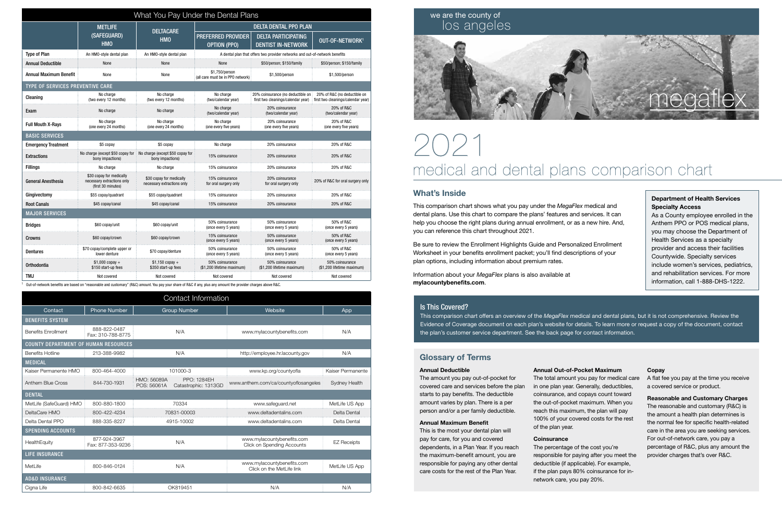| What You Pay Under the Dental Plans |                                                                              |                                                        |                                                     |                                                                             |                                                                    |  |  |  |
|-------------------------------------|------------------------------------------------------------------------------|--------------------------------------------------------|-----------------------------------------------------|-----------------------------------------------------------------------------|--------------------------------------------------------------------|--|--|--|
|                                     | <b>METLIFE</b><br>(SAFEGUARD)                                                | <b>DELTACARE</b><br><b>HMO</b>                         | <b>DELTA DENTAL PPO PLAN</b>                        |                                                                             |                                                                    |  |  |  |
|                                     |                                                                              |                                                        | PREFERRED PROVIDER                                  | <b>DELTA PARTICIPATING</b>                                                  | OUT-OF-NETWORK <sup>1</sup>                                        |  |  |  |
|                                     | <b>HMO</b>                                                                   |                                                        | <b>OPTION (PPO)</b>                                 | <b>DENTIST IN-NETWORK</b>                                                   |                                                                    |  |  |  |
| <b>Type of Plan</b>                 | An HMO-style dental plan                                                     | An HMO-style dental plan                               |                                                     | A dental plan that offers two provider networks and out-of-network benefits |                                                                    |  |  |  |
| <b>Annual Deductible</b>            | None                                                                         | None                                                   | None                                                | \$50/person; \$150/family                                                   | \$50/person; \$150/family                                          |  |  |  |
| <b>Annual Maximum Benefit</b>       | None                                                                         | None                                                   | \$1,750/person<br>(all care must be in PPO network) | \$1,500/person                                                              | \$1,500/person                                                     |  |  |  |
| TYPE OF SERVICES PREVENTIVE CARE    |                                                                              |                                                        |                                                     |                                                                             |                                                                    |  |  |  |
| Cleaning                            | No charge<br>(two every 12 months)                                           | No charge<br>(two every 12 months)                     | No charge<br>(two/calendar year)                    | 20% coinsurance (no deductible on<br>first two cleanings/calendar year)     | 20% of R&C (no deductible on<br>first two cleanings/calendar year) |  |  |  |
| Exam                                | No charge                                                                    | No charge                                              | No charge<br>(two/calendar year)                    | 20% coinsurance<br>(two/calendar year)                                      | 20% of R&C<br>(two/calendar year)                                  |  |  |  |
| <b>Full Mouth X-Rays</b>            | No charge<br>(one every 24 months)                                           | No charge<br>(one every 24 months)                     | No charge<br>(one every five years)                 | 20% coinsurance<br>(one every five years)                                   | 20% of R&C<br>(one every five years)                               |  |  |  |
| <b>BASIC SERVICES</b>               |                                                                              |                                                        |                                                     |                                                                             |                                                                    |  |  |  |
| <b>Emergency Treatment</b>          | \$5 copay                                                                    | \$5 copay                                              | No charge                                           | 20% coinsurance                                                             | 20% of R&C                                                         |  |  |  |
| <b>Extractions</b>                  | No charge (except \$50 copay for<br>bony impactions)                         | No charge (except \$50 copay for<br>bony impactions)   | 15% coinsurance                                     | 20% coinsurance                                                             | 20% of R&C                                                         |  |  |  |
| <b>Fillings</b>                     | No charge                                                                    | No charge                                              | 15% coinsurance                                     | 20% coinsurance                                                             | 20% of R&C                                                         |  |  |  |
| General Anesthesia                  | \$30 copay for medically<br>necessary extractions only<br>(first 30 minutes) | \$30 copay for medically<br>necessary extractions only | 15% coinsurance<br>for oral surgery only            | 20% coinsurance<br>for oral surgery only                                    | 20% of R&C for oral surgery only                                   |  |  |  |
| Gingivectomy                        | \$55 copay/guadrant                                                          | \$55 copay/quadrant                                    | 15% coinsurance                                     | 20% coinsurance                                                             | 20% of R&C                                                         |  |  |  |
| <b>Root Canals</b>                  | \$45 copay/canal                                                             | \$45 copay/canal                                       | 15% coinsurance                                     | 20% coinsurance                                                             | 20% of R&C                                                         |  |  |  |
| <b>MAJOR SERVICES</b>               |                                                                              |                                                        |                                                     |                                                                             |                                                                    |  |  |  |
| <b>Bridges</b>                      | \$60 copay/unit                                                              | \$60 copay/unit                                        | 50% coinsurance<br>(once every 5 years)             | 50% coinsurance<br>(once every 5 years)                                     | 50% of R&C<br>(once every 5 years)                                 |  |  |  |
| Crowns                              | \$60 copay/crown                                                             | \$60 copay/crown                                       | 15% coinsurance<br>(once every 5 years)             | 50% coinsurance<br>(once every 5 years)                                     | 50% of R&C<br>(once every 5 years)                                 |  |  |  |
| <b>Dentures</b>                     | \$70 copay/complete upper or<br>lower denture                                | \$70 copay/denture                                     | 50% coinsurance<br>(once every 5 years)             | 50% coinsurance<br>(once every 5 years)                                     | 50% of R&C<br>(once every 5 years)                                 |  |  |  |
| Orthodontia                         | $$1,000$ copay +<br>\$150 start-up fees                                      | $$1,150$ copay +<br>\$350 start-up fees                | 50% coinsurance<br>(\$1,200 lifetime maximum)       | 50% coinsurance<br>(\$1,200 lifetime maximum)                               | 50% coinsurance<br>(\$1,200 lifetime maximum)                      |  |  |  |
| TMJ                                 | Not covered                                                                  | Not covered                                            | Not covered                                         | Not covered                                                                 | Not covered                                                        |  |  |  |

1 Out-of-network benefits are based on "reasonable and customary" (R&C) amount. You pay your share of R&C if any, plus any amount the provider charges above R&C.

## What's Inside

This comparison chart shows what you pay under the *MegaFlex* medical and dental plans. Use this chart to compare the plans' features and services. It can help you choose the right plans during annual enrollment, or as a new hire. And, you can reference this chart throughout 2021.

Be sure to review the Enrollment Highlights Guide and Personalized Enrollment Worksheet in your benefits enrollment packet; you'll find descriptions of your plan options, including information about premium rates.

Information about your *MegaFlex* plans is also available at mylacountybenefits.com.

# 2021 medical and dental plans comparison chart

# we are the county of los angeles



### Is This Covered?

This comparison chart offers an overview of the *MegaFlex* medical and dental plans, but it is not comprehensive. Review the Evidence of Coverage document on each plan's website for details. To learn more or request a copy of the document, contact the plan's customer service department. See the back page for contact information.

#### Department of Health Services Specialty Access

As a County employee enrolled in the Anthem PPO or POS medical plans, you may choose the Department of Health Services as a specialty provider and access their facilities Countywide. Specialty services include women's services, pediatrics, and rehabilitation services. For more information, call 1-888-DHS-1222.

| Contact Information                         |                                   |                            |                                            |                                                          |                      |  |  |  |
|---------------------------------------------|-----------------------------------|----------------------------|--------------------------------------------|----------------------------------------------------------|----------------------|--|--|--|
| Contact                                     | <b>Phone Number</b>               | <b>Group Number</b>        |                                            | Website                                                  | App                  |  |  |  |
| <b>BENEFITS SYSTEM</b>                      |                                   |                            |                                            |                                                          |                      |  |  |  |
| <b>Benefits Enrollment</b>                  | 888-822-0487<br>Fax: 310-788-8775 | N/A                        |                                            | www.mylacountybenefits.com                               | N/A                  |  |  |  |
| <b>COUNTY DEPARTMENT OF HUMAN RESOURCES</b> |                                   |                            |                                            |                                                          |                      |  |  |  |
| <b>Benefits Hotline</b>                     | 213-388-9982                      | N/A                        |                                            | http://employee.hr.lacounty.gov                          | N/A                  |  |  |  |
| <b>MEDICAL</b>                              |                                   |                            |                                            |                                                          |                      |  |  |  |
| Kaiser Permanente HMO                       | 800-464-4000                      | 101000-3                   |                                            | www.kp.org/countyofla                                    | Kaiser Permanente    |  |  |  |
| <b>Anthem Blue Cross</b>                    | 844-730-1931                      | HMO: 56089A<br>POS: 56061A | <b>PPO: 1284EH</b><br>Catastrophic: 1313GD | www.anthem.com/ca/countyoflosangeles                     | <b>Sydney Health</b> |  |  |  |
| <b>DENTAL</b>                               |                                   |                            |                                            |                                                          |                      |  |  |  |
| MetLife (SafeGuard) HMO                     | 800-880-1800                      | 70334                      |                                            | www.safeguard.net                                        | MetLife US App       |  |  |  |
| DeltaCare HMO                               | 800-422-4234                      | 70831-00003                |                                            | www.deltadentalins.com                                   | Delta Dental         |  |  |  |
| Delta Dental PPO                            | 888-335-8227                      | 4915-10002                 |                                            | www.deltadentalins.com                                   | Delta Dental         |  |  |  |
| <b>SPENDING ACCOUNTS</b>                    |                                   |                            |                                            |                                                          |                      |  |  |  |
| HealthEquity                                | 877-924-3967<br>Fax: 877-353-9236 | N/A                        |                                            | www.mylacountybenefits.com<br>Click on Spending Accounts | <b>EZ Receipts</b>   |  |  |  |
| <b>LIFE INSURANCE</b>                       |                                   |                            |                                            |                                                          |                      |  |  |  |
| <b>MetLife</b>                              | 800-846-0124                      | N/A                        |                                            | www.mylacountybenefits.com<br>Click on the MetLife link  | MetLife US App       |  |  |  |
| <b>AD&amp;D INSURANCE</b>                   |                                   |                            |                                            |                                                          |                      |  |  |  |
| Cigna Life                                  | 800-842-6635                      | OK819451                   |                                            | N/A                                                      | N/A                  |  |  |  |

# Glossary of Terms

#### **Annual Deductible**

The amount you pay out-of-pocket for covered care and services before the plan starts to pay benefits. The deductible amount varies by plan. There is a per person and/or a per family deductible.

#### **Annual Maximum Benefit**

This is the most your dental plan will pay for care, for you and covered dependents, in a Plan Year. If you reach the maximum-benefit amount, you are responsible for paying any other dental care costs for the rest of the Plan Year.

**Annual Out-of-Pocket Maximum** The total amount you pay for medical care in one plan year. Generally, deductibles, coinsurance, and copays count toward the out-of-pocket maximum. When you reach this maximum, the plan will pay 100% of your covered costs for the rest

### of the plan year. **Coinsurance**

The percentage of the cost you're responsible for paying after you meet the deductible (if applicable). For example, if the plan pays 80% coinsurance for innetwork care, you pay 20%.

#### **Copay**

A flat fee you pay at the time you receive a covered service or product.

**Reasonable and Customary Charges** The reasonable and customary (R&C) is the amount a health plan determines is the normal fee for specific health-related care in the area you are seeking services. For out-of-network care, you pay a percentage of R&C, plus any amount the provider charges that's over R&C.